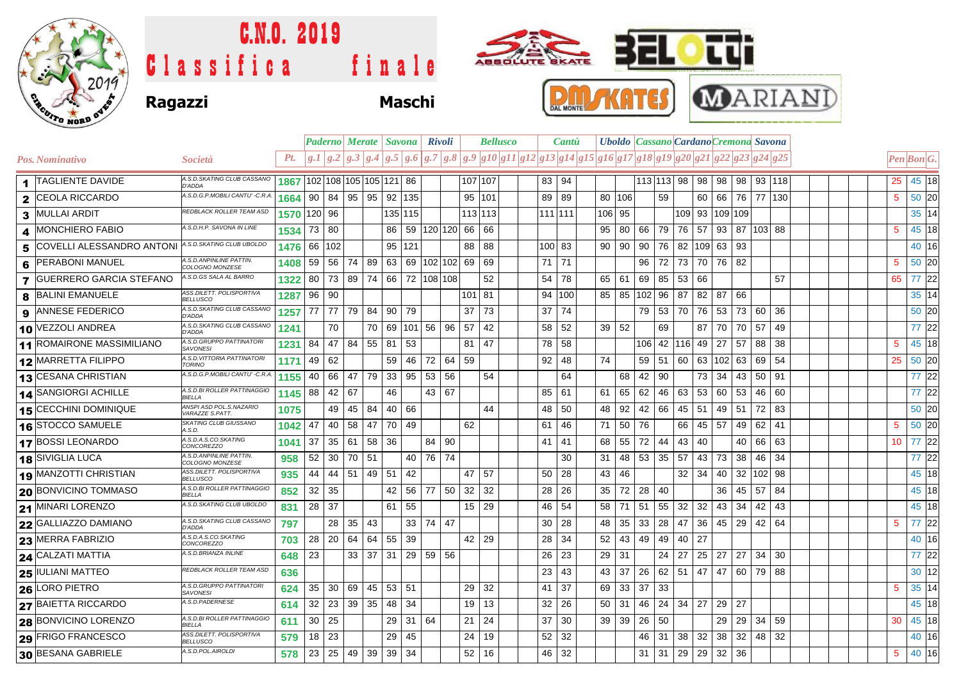

## **Ragazzi Maschi** Classifica finale C.N.O. 2019